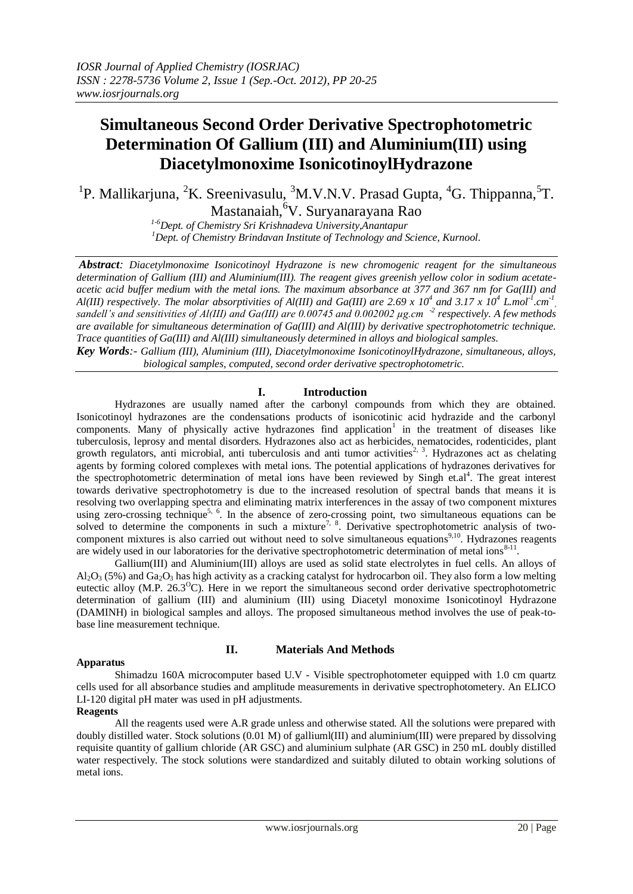# **Simultaneous Second Order Derivative Spectrophotometric Determination Of Gallium (III) and Aluminium(III) using Diacetylmonoxime IsonicotinoylHydrazone**

<sup>1</sup>P. Mallikarjuna, <sup>2</sup>K. Sreenivasulu, <sup>3</sup>M.V.N.V. Prasad Gupta, <sup>4</sup>G. Thippanna, <sup>5</sup>T. Mastanaiah, <sup>6</sup>V. Suryanarayana Rao

> *1-6Dept. of Chemistry Sri Krishnadeva University,Anantapur <sup>1</sup>Dept. of Chemistry Brindavan Institute of Technology and Science, Kurnool.*

*Abstract: Diacetylmonoxime Isonicotinoyl Hydrazone is new chromogenic reagent for the simultaneous determination of Gallium (III) and Aluminium(III). The reagent gives greenish yellow color in sodium acetateacetic acid buffer medium with the metal ions. The maximum absorbance at 377 and 367 nm for Ga(III) and Al(III) respectively. The molar absorptivities of Al(III) and Ga(III) are 2.69 x 10<sup>4</sup> and 3.17 x 10<sup>4</sup> L.mol<sup>-1</sup>.cm<sup>-1</sup> sandell's and sensitivities of Al(III) and Ga(III) are 0.00745 and 0.002002 µg.cm -2 respectively. A few methods are available for simultaneous determination of Ga(III) and Al(III) by derivative spectrophotometric technique. Trace quantities of Ga(III) and Al(III) simultaneously determined in alloys and biological samples.*

*Key Words:- Gallium (III), Aluminium (III), Diacetylmonoxime IsonicotinoylHydrazone, simultaneous, alloys, biological samples, computed, second order derivative spectrophotometric.*

## **I. Introduction**

Hydrazones are usually named after the carbonyl compounds from which they are obtained. Isonicotinoyl hydrazones are the condensations products of isonicotinic acid hydrazide and the carbonyl components. Many of physically active hydrazones find application<sup>1</sup> in the treatment of diseases like tuberculosis, leprosy and mental disorders. Hydrazones also act as herbicides, nematocides, rodenticides, plant growth regulators, anti microbial, anti tuberculosis and anti tumor activities<sup>2, 3</sup>. Hydrazones act as chelating agents by forming colored complexes with metal ions. The potential applications of hydrazones derivatives for the spectrophotometric determination of metal ions have been reviewed by Singh et.al<sup>4</sup>. The great interest towards derivative spectrophotometry is due to the increased resolution of spectral bands that means it is resolving two overlapping spectra and eliminating matrix interferences in the assay of two component mixtures using zero-crossing technique<sup>5, 6</sup>. In the absence of zero-crossing point, two simultaneous equations can be solved to determine the components in such a mixture<sup>7, 8</sup>. Derivative spectrophotometric analysis of twocomponent mixtures is also carried out without need to solve simultaneous equations<sup>9,10</sup>. Hydrazones reagents are widely used in our laboratories for the derivative spectrophotometric determination of metal ions<sup>8-11</sup>.

Gallium(III) and Aluminium(III) alloys are used as solid state electrolytes in fuel cells. An alloys of  $A_2O_3$  (5%) and  $Ga_2O_3$  has high activity as a cracking catalyst for hydrocarbon oil. They also form a low melting eutectic alloy (M.P.  $26.3^{\circ}$ C). Here in we report the simultaneous second order derivative spectrophotometric determination of gallium (III) and aluminium (III) using Diacetyl monoxime Isonicotinoyl Hydrazone (DAMINH) in biological samples and alloys. The proposed simultaneous method involves the use of peak-tobase line measurement technique.

## **Apparatus**

## **II. Materials And Methods**

Shimadzu 160A microcomputer based U.V - Visible spectrophotometer equipped with 1.0 cm quartz cells used for all absorbance studies and amplitude measurements in derivative spectrophotometery. An ELICO LI-120 digital pH mater was used in pH adjustments.

## **Reagents**

All the reagents used were A.R grade unless and otherwise stated. All the solutions were prepared with doubly distilled water. Stock solutions (0.01 M) of galliuml(III) and aluminium(III) were prepared by dissolving requisite quantity of gallium chloride (AR GSC) and aluminium sulphate (AR GSC) in 250 mL doubly distilled water respectively. The stock solutions were standardized and suitably diluted to obtain working solutions of metal ions.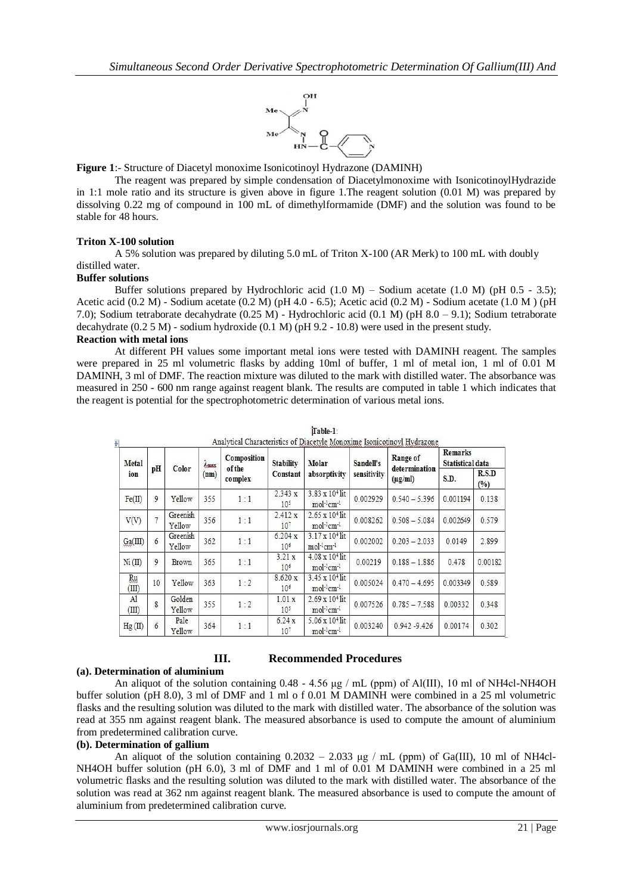

**Figure 1**:- Structure of Diacetyl monoxime Isonicotinoyl Hydrazone (DAMINH)

The reagent was prepared by simple condensation of Diacetylmonoxime with IsonicotinoylHydrazide in 1:1 mole ratio and its structure is given above in figure 1.The reagent solution (0.01 M) was prepared by dissolving 0.22 mg of compound in 100 mL of dimethylformamide (DMF) and the solution was found to be stable for 48 hours.

#### **Triton X-100 solution**

A 5% solution was prepared by diluting 5.0 mL of Triton X-100 (AR Merk) to 100 mL with doubly distilled water.

## **Buffer solutions**

Buffer solutions prepared by Hydrochloric acid  $(1.0 M)$  – Sodium acetate  $(1.0 M)$  (pH 0.5 - 3.5); Acetic acid (0.2 M) - Sodium acetate (0.2 M) (pH 4.0 - 6.5); Acetic acid (0.2 M) - Sodium acetate (1.0 M ) (pH 7.0); Sodium tetraborate decahydrate (0.25 M) - Hydrochloric acid (0.1 M) (pH 8.0 – 9.1); Sodium tetraborate decahydrate (0.2 5 M) - sodium hydroxide (0.1 M) (pH 9.2 - 10.8) were used in the present study.

#### **Reaction with metal ions**

At different PH values some important metal ions were tested with DAMINH reagent. The samples were prepared in 25 ml volumetric flasks by adding 10ml of buffer, 1 ml of metal ion, 1 ml of 0.01 M DAMINH, 3 ml of DMF. The reaction mixture was diluted to the mark with distilled water. The absorbance was measured in 250 - 600 nm range against reagent blank. The results are computed in table 1 which indicates that the reagent is potential for the spectrophotometric determination of various metal ions.

| Metal<br>ion       | pH             | Color              | <i>Lausx</i> | Composition<br><b>of the</b><br>complex | <b>Stability</b><br>Constant | Molar<br>absorptivity                                          | Sandell's<br>sensitivity | Range of<br>determination<br>$(\mu g/ml)$ | <b>Remarks</b><br>Statistical data |              |
|--------------------|----------------|--------------------|--------------|-----------------------------------------|------------------------------|----------------------------------------------------------------|--------------------------|-------------------------------------------|------------------------------------|--------------|
|                    |                |                    | (nm)         |                                         |                              |                                                                |                          |                                           | S.D.                               | R.S.D<br>(%) |
| Fe(II)             | 9              | Yellow             | 355          | 1:1                                     | 2.343 x<br>$10^{5}$          | $3.83 \times 10^{4}$ lit<br>mol-1cm-1                          | 0.002929                 | $0.540 - 5.396$                           | 0.001194                           | 0.138        |
| V(V)               | $\overline{7}$ | Greenish<br>Yellow | 356          | 1:1                                     | 2.412 x<br>10 <sup>7</sup>   | $2.65 \times 10^{4}$ lit<br>mol-1cm-1                          | 0.008262                 | $0.508 - 5.084$                           | 0.002649                           | 0.579        |
| Ga(III)            | 6              | Greenish<br>Yellow | 362          | 1:1                                     | 6.204 x<br>10 <sup>6</sup>   | $3.17 \times 10^{4}$ lit<br>mol-lcm-l                          | 0.002002                 | $0.203 - 2.033$                           | 0.0149                             | 2.899        |
| Ni (II)            | 9              | Brown              | 365          | 1:1                                     | 3.21 x<br>106                | $4.08 \times 10^{4}$ lit<br>mol <sup>-1</sup> cm <sup>-1</sup> | 0.00219                  | $0.188 - 1.886$                           | 0.478                              | 0.00182      |
| <b>Ru</b><br>(III) | 10             | Yellow             | 363          | 1:2                                     | 8.620 x<br>106               | $3.45 \times 10^{4}$ lit<br>$mol^{-1}$ cm <sup>-1</sup>        | 0.005024                 | $0.470 - 4.695$                           | 0.003349                           | 0.589        |
| Al<br>(III)        | 8              | Golden<br>Yellow   | 355          | 1:2                                     | 1.01 x<br>$10^{5}$           | $2.69 \times 10^{4}$ lit<br>mol-1cm-1                          | 0.007526                 | $0.785 - 7.588$                           | 0.00332                            | 0.348        |
| Hg(II)             | 6              | Pale<br>Yellow     | 364          | 1:1                                     | 6.24 x<br>10 <sup>7</sup>    | $5.06 \times 10^{4}$ lit<br>mol <sup>-1</sup> cm <sup>-1</sup> | 0.003240                 | $0.942 - 9.426$                           | 0.00174                            | 0.302        |

| ll able- |  |
|----------|--|
|          |  |

## **III. Recommended Procedures**

## **(a). Determination of aluminium**

An aliquot of the solution containing 0.48 - 4.56 μg / mL (ppm) of Al(III), 10 ml of NH4cl-NH4OH buffer solution (pH 8.0), 3 ml of DMF and 1 ml o f 0.01 M DAMINH were combined in a 25 ml volumetric flasks and the resulting solution was diluted to the mark with distilled water. The absorbance of the solution was read at 355 nm against reagent blank. The measured absorbance is used to compute the amount of aluminium from predetermined calibration curve.

## **(b). Determination of gallium**

An aliquot of the solution containing  $0.2032 - 2.033$  μg / mL (ppm) of Ga(III), 10 ml of NH4cl-NH4OH buffer solution (pH 6.0), 3 ml of DMF and 1 ml of 0.01 M DAMINH were combined in a 25 ml volumetric flasks and the resulting solution was diluted to the mark with distilled water. The absorbance of the solution was read at 362 nm against reagent blank. The measured absorbance is used to compute the amount of aluminium from predetermined calibration curve.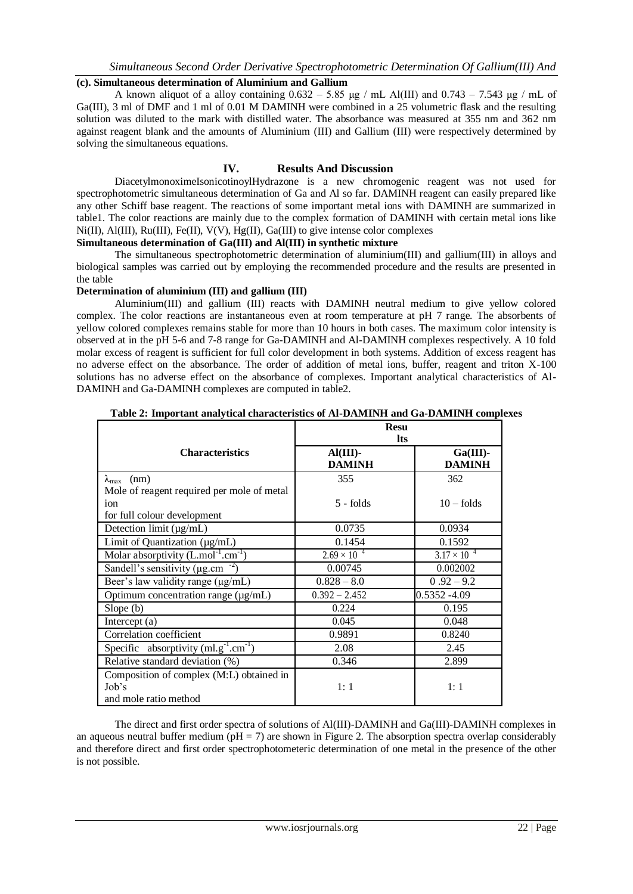# *Simultaneous Second Order Derivative Spectrophotometric Determination Of Gallium(III) And*

## **(c). Simultaneous determination of Aluminium and Gallium**

A known aliquot of a alloy containing  $0.632 - 5.85$  μg / mL Al(III) and  $0.743 - 7.543$  μg / mL of Ga(III), 3 ml of DMF and 1 ml of 0.01 M DAMINH were combined in a 25 volumetric flask and the resulting solution was diluted to the mark with distilled water. The absorbance was measured at 355 nm and 362 nm against reagent blank and the amounts of Aluminium (III) and Gallium (III) were respectively determined by solving the simultaneous equations.

## **IV. Results And Discussion**

DiacetylmonoximeIsonicotinoylHydrazone is a new chromogenic reagent was not used for spectrophotometric simultaneous determination of Ga and Al so far. DAMINH reagent can easily prepared like any other Schiff base reagent. The reactions of some important metal ions with DAMINH are summarized in table1. The color reactions are mainly due to the complex formation of DAMINH with certain metal ions like  $Ni(II)$ ,  $Al(III)$ ,  $Ru(III)$ ,  $Fe(II)$ ,  $V(V)$ ,  $Hg(II)$ ,  $Ga(III)$  to give intense color complexes

## **Simultaneous determination of Ga(III) and Al(III) in synthetic mixture**

The simultaneous spectrophotometric determination of aluminium(III) and gallium(III) in alloys and biological samples was carried out by employing the recommended procedure and the results are presented in the table

## **Determination of aluminium (III) and gallium (III)**

Aluminium(III) and gallium (III) reacts with DAMINH neutral medium to give yellow colored complex. The color reactions are instantaneous even at room temperature at pH 7 range. The absorbents of yellow colored complexes remains stable for more than 10 hours in both cases. The maximum color intensity is observed at in the pH 5-6 and 7-8 range for Ga-DAMINH and Al-DAMINH complexes respectively. A 10 fold molar excess of reagent is sufficient for full color development in both systems. Addition of excess reagent has no adverse effect on the absorbance. The order of addition of metal ions, buffer, reagent and triton X-100 solutions has no adverse effect on the absorbance of complexes. Important analytical characteristics of Al-DAMINH and Ga-DAMINH complexes are computed in table2.

|                                                                            | <b>Resu</b><br><b>lts</b>    |                              |  |
|----------------------------------------------------------------------------|------------------------------|------------------------------|--|
| <b>Characteristics</b>                                                     | $AI(III)$ -<br><b>DAMINH</b> | $Ga(III)$ -<br><b>DAMINH</b> |  |
| $\lambda_{\text{max}}$ (nm)                                                | 355                          | 362                          |  |
| Mole of reagent required per mole of metal                                 |                              |                              |  |
| ion                                                                        | $5 -$ folds                  | $10 -$ folds                 |  |
| for full colour development                                                |                              |                              |  |
| Detection limit $(\mu g/mL)$                                               | 0.0735                       | 0.0934                       |  |
| Limit of Quantization (µg/mL)                                              | 0.1454                       | 0.1592                       |  |
| Molar absorptivity $(L.mol^{-1}.cm^{-1})$                                  | $2.69 \times 10^{-4}$        | $3.17 \times 10^{-4}$        |  |
| Sandell's sensitivity ( $\mu$ g.cm <sup>-2</sup> )                         | 0.00745                      | 0.002002                     |  |
| Beer's law validity range (µg/mL)                                          | $0.828 - 8.0$                | $0.92 - 9.2$                 |  |
| Optimum concentration range $(\mu g/mL)$                                   | $0.392 - 2.452$              | $0.5352 - 4.09$              |  |
| Slope(b)                                                                   | 0.224                        | 0.195                        |  |
| Intercept $(a)$                                                            | 0.045                        | 0.048                        |  |
| Correlation coefficient                                                    | 0.9891                       | 0.8240                       |  |
| Specific absorptivity $(ml.g^{-1}.cm^{-1})$                                | 2.08                         | 2.45                         |  |
| Relative standard deviation (%)                                            | 0.346                        | 2.899                        |  |
| Composition of complex (M:L) obtained in<br>Job's<br>and mole ratio method | 1:1                          | 1:1                          |  |

The direct and first order spectra of solutions of Al(III)-DAMINH and Ga(III)-DAMINH complexes in an aqueous neutral buffer medium ( $pH = 7$ ) are shown in Figure 2. The absorption spectra overlap considerably and therefore direct and first order spectrophotometeric determination of one metal in the presence of the other is not possible.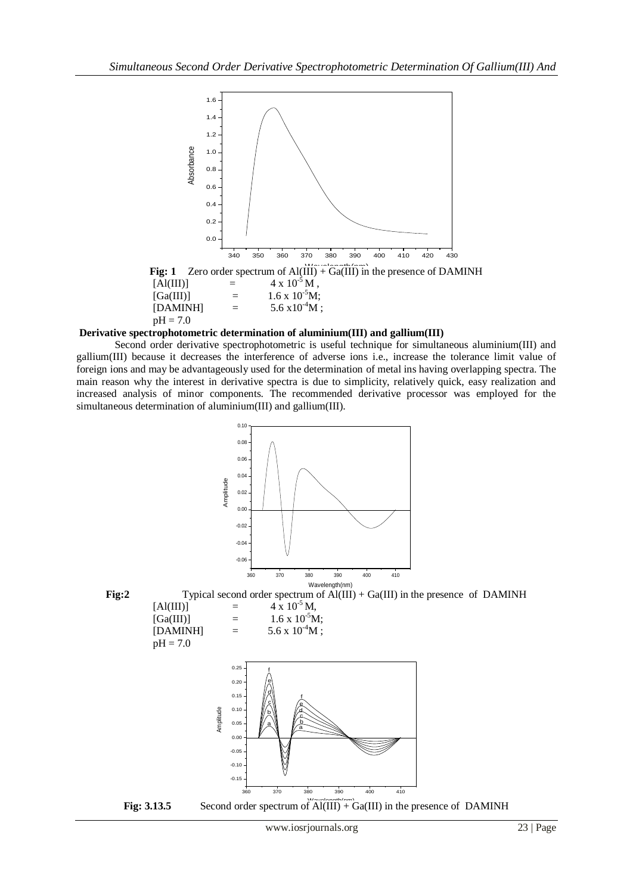

**Derivative spectrophotometric determination of aluminium(III) and gallium(III)**

Second order derivative spectrophotometric is useful technique for simultaneous aluminium(III) and gallium(III) because it decreases the interference of adverse ions i.e., increase the tolerance limit value of foreign ions and may be advantageously used for the determination of metal ins having overlapping spectra. The main reason why the interest in derivative spectra is due to simplicity, relatively quick, easy realization and increased analysis of minor components. The recommended derivative processor was employed for the simultaneous determination of aluminium(III) and gallium(III).

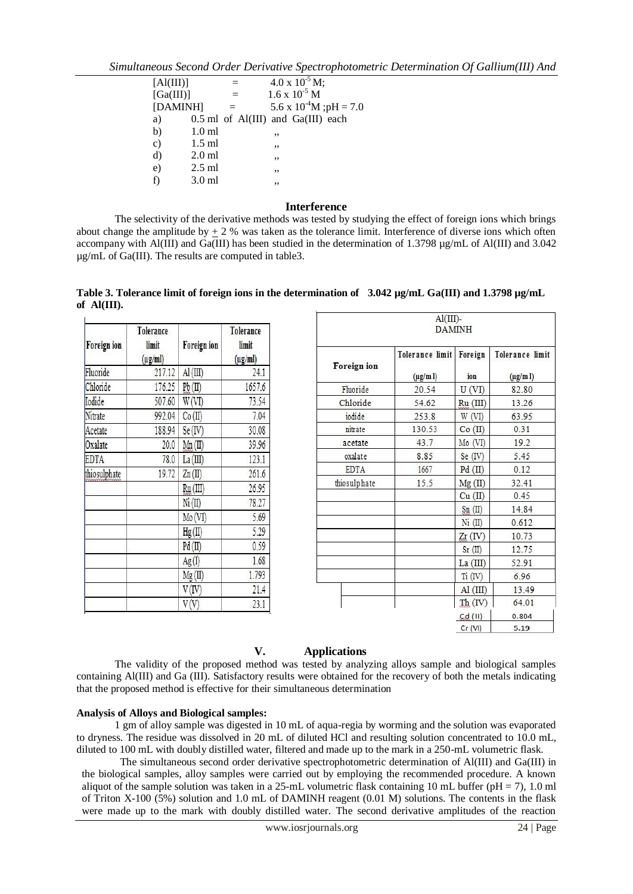*Simultaneous Second Order Derivative Spectrophotometric Determination Of Gallium(III) And* 

| [Al(III)] |          |     | $4.0 \times 10^{-5}$ M;            |
|-----------|----------|-----|------------------------------------|
| [Ga(III)] |          | $=$ | $1.6 \times 10^{-5}$ M             |
| [DAMINH]  |          | $=$ | 5.6 x $10^{4}$ M ;pH = 7.0         |
| a)        |          |     | 0.5 ml of Al(III) and Ga(III) each |
| b)        | $1.0$ ml |     | ,,                                 |
| $\circ$ ) | $1.5$ ml |     | ,,                                 |
| d)        | $2.0$ ml |     | ,,                                 |
| e)        | $2.5$ ml |     | ,,                                 |
| f)        | $3.0$ ml |     | ,,                                 |

## **Interference**

The selectivity of the derivative methods was tested by studying the effect of foreign ions which brings about change the amplitude by  $\pm 2$  % was taken as the tolerance limit. Interference of diverse ions which often accompany with Al(III) and Ga(III) has been studied in the determination of 1.3798 µg/mL of Al(III) and 3.042 µg/mL of Ga(III). The results are computed in table3.

Table 3. Tolerance limit of foreign ions in the determination of 3.042  $\mu$ g/mL Ga(III) and 1.3798  $\mu$ g/mL **of Al(III).**

| Foreign ion  | Tolerance<br>limit<br>$(\mu g/ml)$ | Foreign ion      | Tolerance<br>limit<br>$(\mu g/ml)$ |
|--------------|------------------------------------|------------------|------------------------------------|
| Fluoride     | 217.12                             | AI(III)          | 24.1                               |
| Chloride     | 176.25                             | Pb(II)           | 1657.6                             |
| Iodide       | 507.60                             | W (VI)           | 73.54                              |
| Nitrate      | 992.04                             | Co(II)           | 7.04                               |
| Acetate      | 188.94                             | Se (IV           | 30.08                              |
| Oxalate      | 20.0                               | Mn(II)           | 39.96                              |
| <b>EDTA</b>  | 78.0                               | La (III)         | 123.1                              |
| thiosulphate | 19.72                              | $\text{Zn}$ (II) | 261.6                              |
|              |                                    | Ru (III)         | 26.95                              |
|              |                                    | Ni (II)          | 78.27                              |
|              |                                    | Mo(VI)           | 5.69                               |
|              |                                    | Hg(II)           | 5.29                               |
|              |                                    | Pd (II)          | 0.59                               |
|              |                                    | Ag(I)            | 1.68                               |
|              |                                    | Mg (II)          | 1.793                              |
|              |                                    | (IV              | 21.4                               |
|              |                                    |                  | 23.1                               |

| $AI(III)$ -<br><b>DAMINH</b> |                                  |                |                                         |  |  |
|------------------------------|----------------------------------|----------------|-----------------------------------------|--|--|
| Foreign ion                  | Tolerance limit<br>$(\mu g/m l)$ | Foreign<br>ion | <b>Tolerance limit</b><br>$(\mu g/m l)$ |  |  |
| Fluoride                     | 20.54                            | U(VI)          | 82.80                                   |  |  |
| Chloride                     | 54.62                            | Ru (III)       | 13.26                                   |  |  |
| jodide                       | 253.8                            | W(VI)          | 63.95                                   |  |  |
| nitrate                      | 130.53                           | Co (II)        | 0.31                                    |  |  |
| acetate                      | 43.7                             | Mo (VI)        | 19.2                                    |  |  |
| oxalate                      | 8.85                             | Se (IV)        | 5.45                                    |  |  |
| <b>EDTA</b>                  | 1667                             | Pd(II)         | 0.12                                    |  |  |
| thiosulphate                 | 15.5                             | Mg(II)         | 32.41                                   |  |  |
|                              |                                  | Cu (II)        | 0.45                                    |  |  |
|                              |                                  | Sn(II)         | 14.84                                   |  |  |
|                              |                                  | Ni (II)        | 0.612                                   |  |  |
|                              |                                  | $Zr$ (IV)      | 10.73                                   |  |  |
|                              |                                  | Sr(II)         | 12.75                                   |  |  |
|                              |                                  | La (III)       | 52.91                                   |  |  |
|                              |                                  | Ti (IV)        | 6.96                                    |  |  |
|                              |                                  | AI(III)        | 13.49                                   |  |  |
|                              |                                  | Th (IV)        | 64.01                                   |  |  |
|                              |                                  | $Cd$ (II)      | 0.804                                   |  |  |
|                              |                                  | Cr (VI)        | 5.19                                    |  |  |

# **V. Applications**

The validity of the proposed method was tested by analyzing alloys sample and biological samples containing Al(III) and Ga (III). Satisfactory results were obtained for the recovery of both the metals indicating that the proposed method is effective for their simultaneous determination

## **Analysis of Alloys and Biological samples:**

1 gm of alloy sample was digested in 10 mL of aqua-regia by worming and the solution was evaporated to dryness. The residue was dissolved in 20 mL of diluted HCl and resulting solution concentrated to 10.0 mL, diluted to 100 mL with doubly distilled water, filtered and made up to the mark in a 250-mL volumetric flask.

The simultaneous second order derivative spectrophotometric determination of Al(III) and Ga(III) in the biological samples, alloy samples were carried out by employing the recommended procedure. A known aliquot of the sample solution was taken in a 25-mL volumetric flask containing 10 mL buffer (pH = 7), 1.0 ml of Triton X-100 (5%) solution and 1.0 mL of DAMINH reagent (0.01 M) solutions. The contents in the flask were made up to the mark with doubly distilled water. The second derivative amplitudes of the reaction